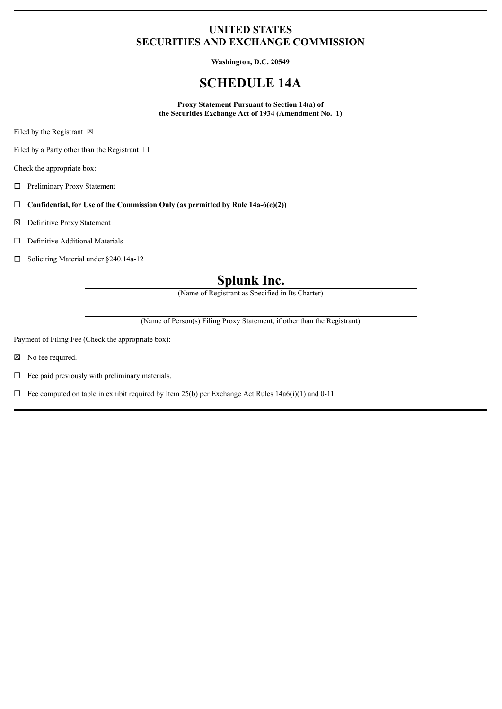### **UNITED STATES SECURITIES AND EXCHANGE COMMISSION**

**Washington, D.C. 20549**

## **SCHEDULE 14A**

**Proxy Statement Pursuant to Section 14(a) of the Securities Exchange Act of 1934 (Amendment No. 1)**

Filed by the Registrant  $\boxtimes$ 

Filed by a Party other than the Registrant  $\Box$ 

Check the appropriate box:

☐ Preliminary Proxy Statement

☐ **Confidential, for Use of the Commission Only (as permitted by Rule 14a-6(e)(2))**

☒ Definitive Proxy Statement

☐ Definitive Additional Materials

☐ Soliciting Material under §240.14a-12

# **Splunk Inc.**

(Name of Registrant as Specified in Its Charter)

(Name of Person(s) Filing Proxy Statement, if other than the Registrant)

Payment of Filing Fee (Check the appropriate box):

☒ No fee required.

 $\Box$  Fee paid previously with preliminary materials.

 $\Box$  Fee computed on table in exhibit required by Item 25(b) per Exchange Act Rules 14a6(i)(1) and 0-11.